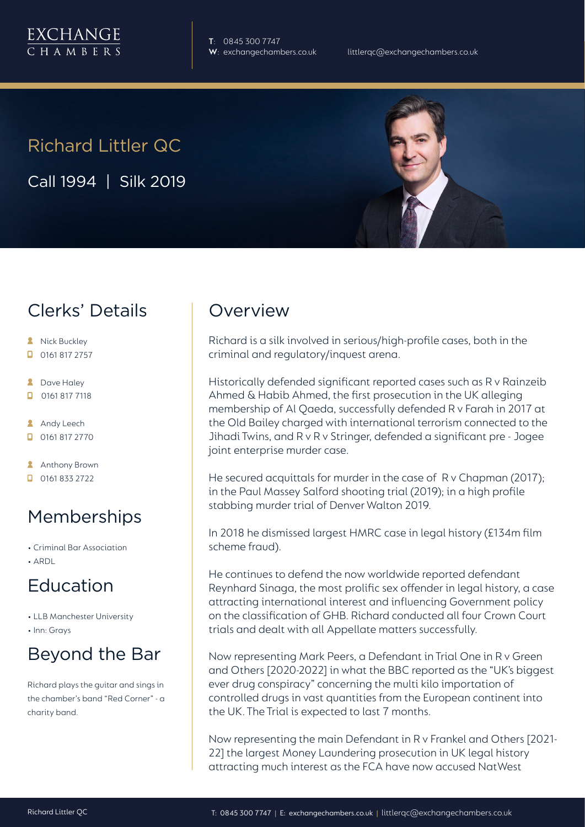

**T**: 0845 300 7747

# Richard Littler QC

Call 1994 | Silk 2019

## Clerks' Details

- **A** Nick Buckley
- $\Box$  0161 817 2757
- **2** Dave Haley
- $\Box$ 0161 817 7118
- **Andy Leech**
- 0161 817 2770
- **Anthony Brown**
- $\Box$  0161 833 2722

# Memberships

- Criminal Bar Association
- ARDL

# Education

- LLB Manchester University
- Inn: Grays

# Beyond the Bar

Richard plays the guitar and sings in the chamber's band "Red Corner" - a charity band.

## Overview

Richard is a silk involved in serious/high-profile cases, both in the criminal and regulatory/inquest arena.

Historically defended significant reported cases such as R v Rainzeib Ahmed & Habib Ahmed, the first prosecution in the UK alleging membership of Al Qaeda, successfully defended R v Farah in 2017 at the Old Bailey charged with international terrorism connected to the Jihadi Twins, and R v R v Stringer, defended a significant pre - Jogee joint enterprise murder case.

He secured acquittals for murder in the case of R v Chapman (2017); in the Paul Massey Salford shooting trial (2019); in a high profile stabbing murder trial of Denver Walton 2019.

In 2018 he dismissed largest HMRC case in legal history (£134m film scheme fraud).

He continues to defend the now worldwide reported defendant Reynhard Sinaga, the most prolific sex offender in legal history, a case attracting international interest and influencing Government policy on the classification of GHB. Richard conducted all four Crown Court trials and dealt with all Appellate matters successfully.

Now representing Mark Peers, a Defendant in Trial One in R v Green and Others [2020-2022] in what the BBC reported as the "UK's biggest ever drug conspiracy" concerning the multi kilo importation of controlled drugs in vast quantities from the European continent into the UK. The Trial is expected to last 7 months.

Now representing the main Defendant in R v Frankel and Others [2021- 22] the largest Money Laundering prosecution in UK legal history attracting much interest as the FCA have now accused NatWest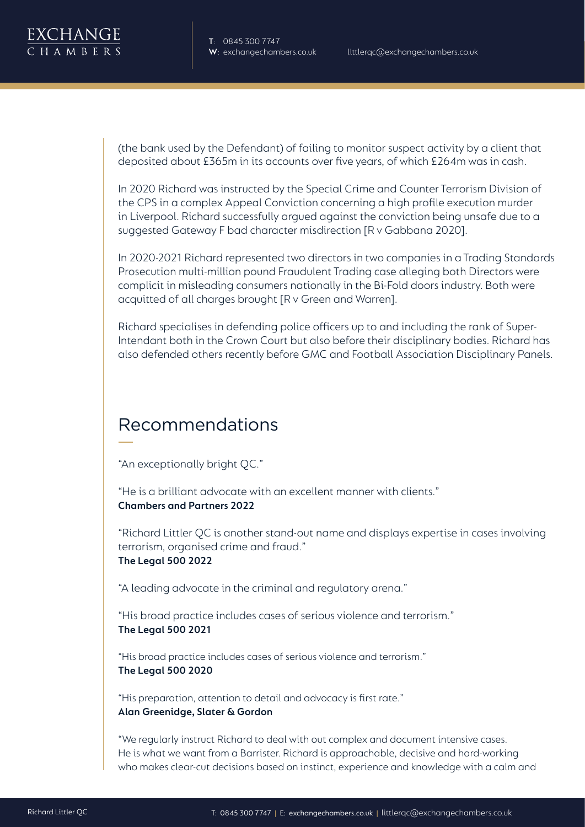(the bank used by the Defendant) of failing to monitor suspect activity by a client that deposited about £365m in its accounts over five years, of which £264m was in cash.

In 2020 Richard was instructed by the Special Crime and Counter Terrorism Division of the CPS in a complex Appeal Conviction concerning a high profile execution murder in Liverpool. Richard successfully argued against the conviction being unsafe due to a suggested Gateway F bad character misdirection [R v Gabbana 2020].

In 2020-2021 Richard represented two directors in two companies in a Trading Standards Prosecution multi-million pound Fraudulent Trading case alleging both Directors were complicit in misleading consumers nationally in the Bi-Fold doors industry. Both were acquitted of all charges brought [R v Green and Warren].

Richard specialises in defending police officers up to and including the rank of Super-Intendant both in the Crown Court but also before their disciplinary bodies. Richard has also defended others recently before GMC and Football Association Disciplinary Panels.

### Recommendations

"An exceptionally bright QC."

"He is a brilliant advocate with an excellent manner with clients." **Chambers and Partners 2022**

"Richard Littler QC is another stand-out name and displays expertise in cases involving terrorism, organised crime and fraud." **The Legal 500 2022**

"A leading advocate in the criminal and regulatory arena."

"His broad practice includes cases of serious violence and terrorism." **The Legal 500 2021**

"His broad practice includes cases of serious violence and terrorism." **The Legal 500 2020**

"His preparation, attention to detail and advocacy is first rate." **Alan Greenidge, Slater & Gordon** 

"We regularly instruct Richard to deal with out complex and document intensive cases. He is what we want from a Barrister. Richard is approachable, decisive and hard-working who makes clear-cut decisions based on instinct, experience and knowledge with a calm and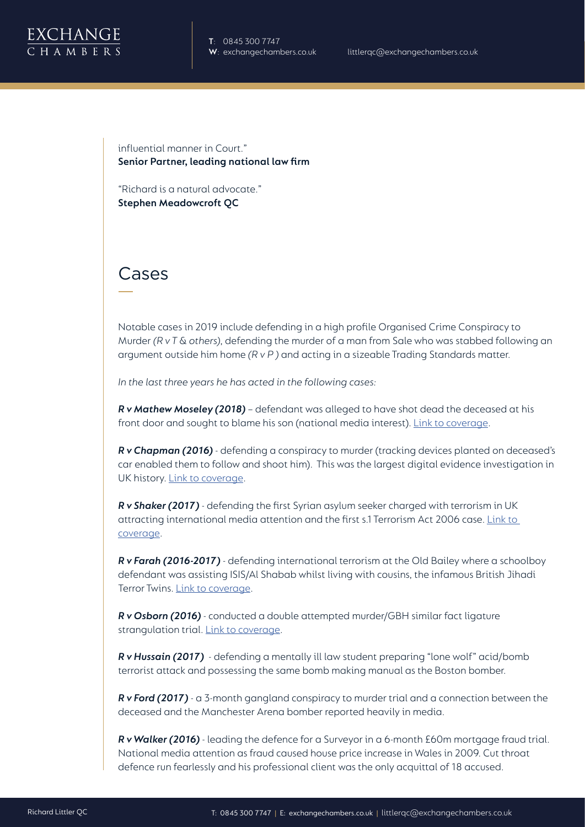

influential manner in Court." **Senior Partner, leading national law firm**

"Richard is a natural advocate." **Stephen Meadowcroft QC**

#### Cases

Notable cases in 2019 include defending in a high profile Organised Crime Conspiracy to Murder *(R v T & others)*, defending the murder of a man from Sale who was stabbed following an argument outside him home *(R v P )* and acting in a sizeable Trading Standards matter.

*In the last three years he has acted in the following cases:*

*R v Mathew Moseley (2018)* – defendant was alleged to have shot dead the deceased at his front door and sought to blame his son (national media interest). Link to coverage.

*R v Chapman (2016)* - defending a conspiracy to murder (tracking devices planted on deceased's car enabled them to follow and shoot him). This was the largest digital evidence investigation in UK history. Link to coverage.

*R v Shaker (2017)* - defending the first Syrian asylum seeker charged with terrorism in UK attracting international media attention and the first s.1 Terrorism Act 2006 case. Link to coverage.

*R v Farah (2016-2017)* - defending international terrorism at the Old Bailey where a schoolboy defendant was assisting ISIS/Al Shabab whilst living with cousins, the infamous British Jihadi Terror Twins. Link to coverage.

*R v Osborn (2016)* - conducted a double attempted murder/GBH similar fact ligature strangulation trial. Link to coverage.

*R v Hussain (2017)* - defending a mentally ill law student preparing "lone wolf" acid/bomb terrorist attack and possessing the same bomb making manual as the Boston bomber.

*R v Ford (2017)* - a 3-month gangland conspiracy to murder trial and a connection between the deceased and the Manchester Arena bomber reported heavily in media.

*R v Walker (2016)* - leading the defence for a Surveyor in a 6-month £60m mortgage fraud trial. National media attention as fraud caused house price increase in Wales in 2009. Cut throat defence run fearlessly and his professional client was the only acquittal of 18 accused.